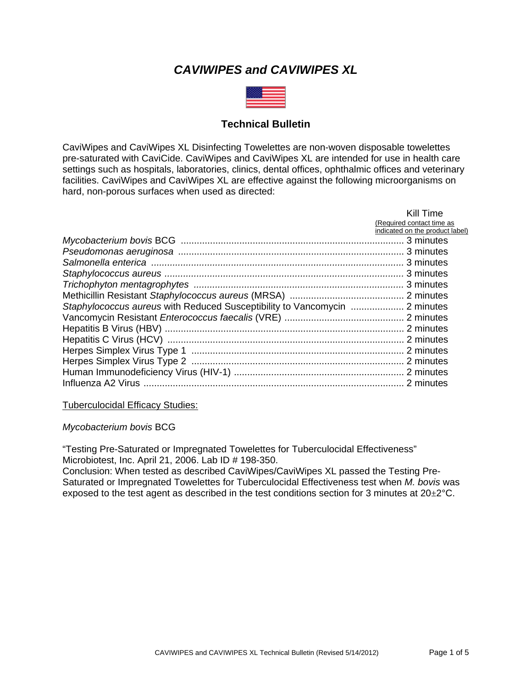# *CAVIWIPES and CAVIWIPES XL*



## **Technical Bulletin**

CaviWipes and CaviWipes XL Disinfecting Towelettes are non-woven disposable towelettes pre-saturated with CaviCide. CaviWipes and CaviWipes XL are intended for use in health care settings such as hospitals, laboratories, clinics, dental offices, ophthalmic offices and veterinary facilities. CaviWipes and CaviWipes XL are effective against the following microorganisms on hard, non-porous surfaces when used as directed:

| Kill Time                       |
|---------------------------------|
| (Required contact time as       |
| indicated on the product label) |
|                                 |
|                                 |
|                                 |
|                                 |
|                                 |
|                                 |
|                                 |
|                                 |
|                                 |
|                                 |
|                                 |
|                                 |
|                                 |
|                                 |

Tuberculocidal Efficacy Studies:

*Mycobacterium bovis* BCG

"Testing Pre-Saturated or Impregnated Towelettes for Tuberculocidal Effectiveness" Microbiotest, Inc. April 21, 2006. Lab ID # 198-350.

Conclusion: When tested as described CaviWipes/CaviWipes XL passed the Testing Pre-Saturated or Impregnated Towelettes for Tuberculocidal Effectiveness test when *M. bovis* was exposed to the test agent as described in the test conditions section for 3 minutes at  $20\pm2^{\circ}$ C.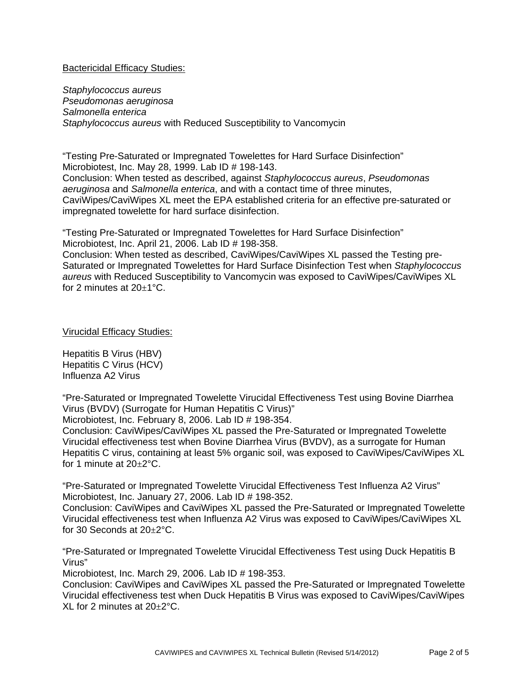### Bactericidal Efficacy Studies:

*Staphylococcus aureus Pseudomonas aeruginosa Salmonella enterica Staphylococcus aureus* with Reduced Susceptibility to Vancomycin

"Testing Pre-Saturated or Impregnated Towelettes for Hard Surface Disinfection" Microbiotest, Inc. May 28, 1999. Lab ID # 198-143. Conclusion: When tested as described, against *Staphylococcus aureus*, *Pseudomonas aeruginosa* and *Salmonella enterica*, and with a contact time of three minutes, CaviWipes/CaviWipes XL meet the EPA established criteria for an effective pre-saturated or impregnated towelette for hard surface disinfection.

"Testing Pre-Saturated or Impregnated Towelettes for Hard Surface Disinfection" Microbiotest, Inc. April 21, 2006. Lab ID # 198-358.

Conclusion: When tested as described, CaviWipes/CaviWipes XL passed the Testing pre-Saturated or Impregnated Towelettes for Hard Surface Disinfection Test when *Staphylococcus aureus* with Reduced Susceptibility to Vancomycin was exposed to CaviWipes/CaviWipes XL for 2 minutes at  $20\pm1^{\circ}$ C.

## Virucidal Efficacy Studies:

Hepatitis B Virus (HBV) Hepatitis C Virus (HCV) Influenza A2 Virus

"Pre-Saturated or Impregnated Towelette Virucidal Effectiveness Test using Bovine Diarrhea Virus (BVDV) (Surrogate for Human Hepatitis C Virus)"

Microbiotest, Inc. February 8, 2006. Lab ID # 198-354.

Conclusion: CaviWipes/CaviWipes XL passed the Pre-Saturated or Impregnated Towelette Virucidal effectiveness test when Bovine Diarrhea Virus (BVDV), as a surrogate for Human Hepatitis C virus, containing at least 5% organic soil, was exposed to CaviWipes/CaviWipes XL for 1 minute at 20±2°C.

"Pre-Saturated or Impregnated Towelette Virucidal Effectiveness Test Influenza A2 Virus" Microbiotest, Inc. January 27, 2006. Lab ID # 198-352.

Conclusion: CaviWipes and CaviWipes XL passed the Pre-Saturated or Impregnated Towelette Virucidal effectiveness test when Influenza A2 Virus was exposed to CaviWipes/CaviWipes XL for 30 Seconds at 20±2°C.

"Pre-Saturated or Impregnated Towelette Virucidal Effectiveness Test using Duck Hepatitis B Virus"

Microbiotest, Inc. March 29, 2006. Lab ID # 198-353.

Conclusion: CaviWipes and CaviWipes XL passed the Pre-Saturated or Impregnated Towelette Virucidal effectiveness test when Duck Hepatitis B Virus was exposed to CaviWipes/CaviWipes XL for 2 minutes at 20±2°C.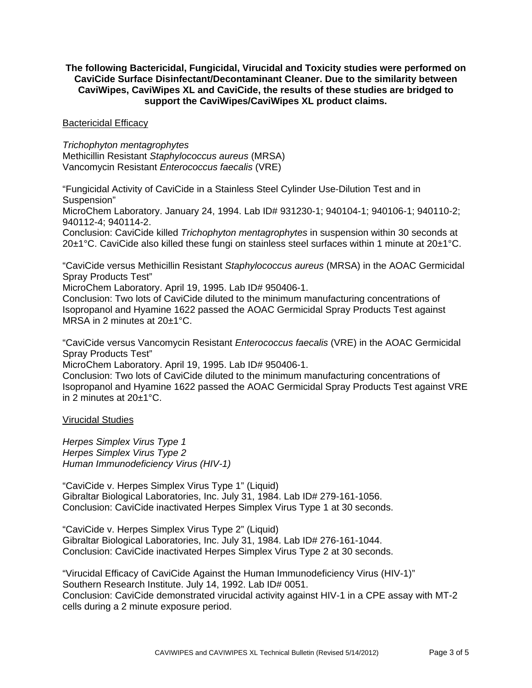## **The following Bactericidal, Fungicidal, Virucidal and Toxicity studies were performed on CaviCide Surface Disinfectant/Decontaminant Cleaner. Due to the similarity between CaviWipes, CaviWipes XL and CaviCide, the results of these studies are bridged to support the CaviWipes/CaviWipes XL product claims.**

### Bactericidal Efficacy

*Trichophyton mentagrophytes*  Methicillin Resistant *Staphylococcus aureus* (MRSA) Vancomycin Resistant *Enterococcus faecalis* (VRE)

"Fungicidal Activity of CaviCide in a Stainless Steel Cylinder Use-Dilution Test and in Suspension"

MicroChem Laboratory. January 24, 1994. Lab ID# 931230-1; 940104-1; 940106-1; 940110-2; 940112-4; 940114-2.

Conclusion: CaviCide killed *Trichophyton mentagrophytes* in suspension within 30 seconds at 20±1°C. CaviCide also killed these fungi on stainless steel surfaces within 1 minute at 20±1°C.

"CaviCide versus Methicillin Resistant *Staphylococcus aureus* (MRSA) in the AOAC Germicidal Spray Products Test"

MicroChem Laboratory. April 19, 1995. Lab ID# 950406-1.

Conclusion: Two lots of CaviCide diluted to the minimum manufacturing concentrations of Isopropanol and Hyamine 1622 passed the AOAC Germicidal Spray Products Test against MRSA in 2 minutes at 20±1°C.

"CaviCide versus Vancomycin Resistant *Enterococcus faecalis* (VRE) in the AOAC Germicidal Spray Products Test"

MicroChem Laboratory. April 19, 1995. Lab ID# 950406-1.

Conclusion: Two lots of CaviCide diluted to the minimum manufacturing concentrations of Isopropanol and Hyamine 1622 passed the AOAC Germicidal Spray Products Test against VRE in 2 minutes at 20±1°C.

### Virucidal Studies

*Herpes Simplex Virus Type 1 Herpes Simplex Virus Type 2 Human Immunodeficiency Virus (HIV-1)* 

"CaviCide v. Herpes Simplex Virus Type 1" (Liquid) Gibraltar Biological Laboratories, Inc. July 31, 1984. Lab ID# 279-161-1056. Conclusion: CaviCide inactivated Herpes Simplex Virus Type 1 at 30 seconds.

"CaviCide v. Herpes Simplex Virus Type 2" (Liquid) Gibraltar Biological Laboratories, Inc. July 31, 1984. Lab ID# 276-161-1044. Conclusion: CaviCide inactivated Herpes Simplex Virus Type 2 at 30 seconds.

"Virucidal Efficacy of CaviCide Against the Human Immunodeficiency Virus (HIV-1)" Southern Research Institute. July 14, 1992. Lab ID# 0051. Conclusion: CaviCide demonstrated virucidal activity against HIV-1 in a CPE assay with MT-2 cells during a 2 minute exposure period.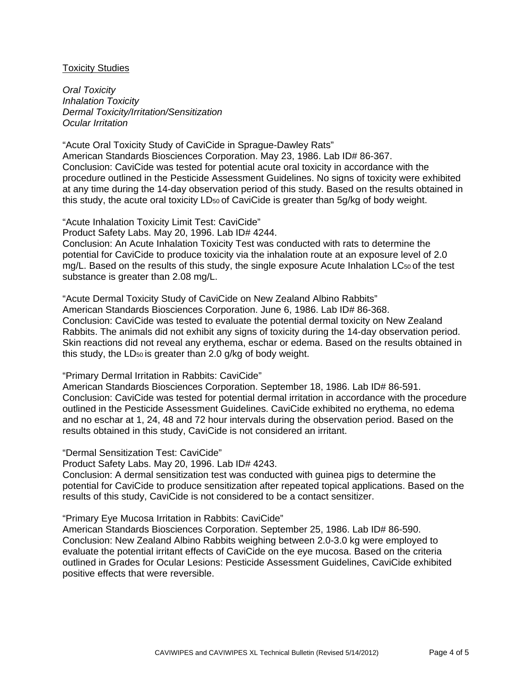#### Toxicity Studies

*Oral Toxicity Inhalation Toxicity Dermal Toxicity/Irritation/Sensitization Ocular Irritation* 

"Acute Oral Toxicity Study of CaviCide in Sprague-Dawley Rats" American Standards Biosciences Corporation. May 23, 1986. Lab ID# 86-367. Conclusion: CaviCide was tested for potential acute oral toxicity in accordance with the procedure outlined in the Pesticide Assessment Guidelines. No signs of toxicity were exhibited at any time during the 14-day observation period of this study. Based on the results obtained in this study, the acute oral toxicity LD<sub>50</sub> of CaviCide is greater than 5g/kg of body weight.

"Acute Inhalation Toxicity Limit Test: CaviCide"

Product Safety Labs. May 20, 1996. Lab ID# 4244.

Conclusion: An Acute Inhalation Toxicity Test was conducted with rats to determine the potential for CaviCide to produce toxicity via the inhalation route at an exposure level of 2.0 mg/L. Based on the results of this study, the single exposure Acute Inhalation LC<sub>50</sub> of the test substance is greater than 2.08 mg/L.

"Acute Dermal Toxicity Study of CaviCide on New Zealand Albino Rabbits" American Standards Biosciences Corporation. June 6, 1986. Lab ID# 86-368. Conclusion: CaviCide was tested to evaluate the potential dermal toxicity on New Zealand Rabbits. The animals did not exhibit any signs of toxicity during the 14-day observation period. Skin reactions did not reveal any erythema, eschar or edema. Based on the results obtained in this study, the LD<sub>50</sub> is greater than 2.0 g/kg of body weight.

### "Primary Dermal Irritation in Rabbits: CaviCide"

American Standards Biosciences Corporation. September 18, 1986. Lab ID# 86-591. Conclusion: CaviCide was tested for potential dermal irritation in accordance with the procedure outlined in the Pesticide Assessment Guidelines. CaviCide exhibited no erythema, no edema and no eschar at 1, 24, 48 and 72 hour intervals during the observation period. Based on the results obtained in this study, CaviCide is not considered an irritant.

#### "Dermal Sensitization Test: CaviCide"

Product Safety Labs. May 20, 1996. Lab ID# 4243.

Conclusion: A dermal sensitization test was conducted with guinea pigs to determine the potential for CaviCide to produce sensitization after repeated topical applications. Based on the results of this study, CaviCide is not considered to be a contact sensitizer.

#### "Primary Eye Mucosa Irritation in Rabbits: CaviCide"

American Standards Biosciences Corporation. September 25, 1986. Lab ID# 86-590. Conclusion: New Zealand Albino Rabbits weighing between 2.0-3.0 kg were employed to evaluate the potential irritant effects of CaviCide on the eye mucosa. Based on the criteria outlined in Grades for Ocular Lesions: Pesticide Assessment Guidelines, CaviCide exhibited positive effects that were reversible.